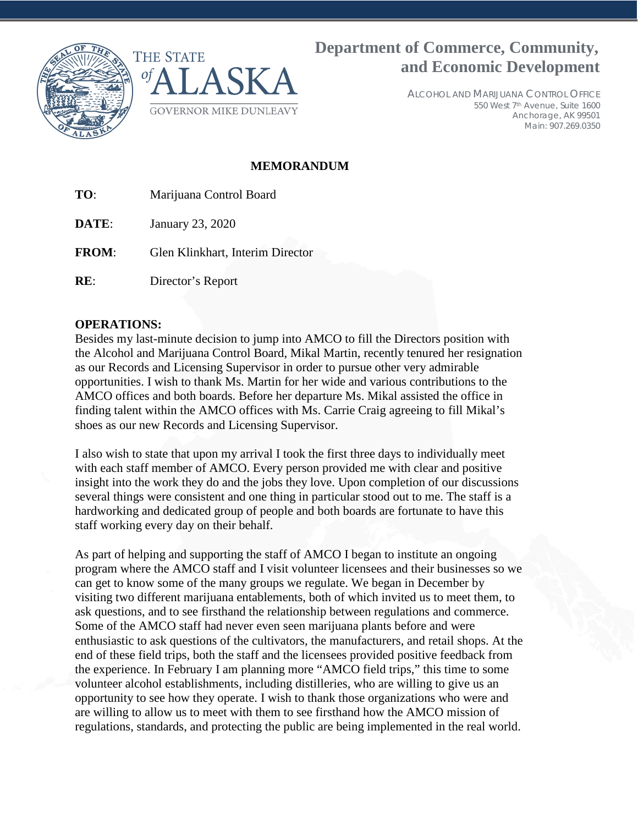



## **Department of Commerce, Community, and Economic Development**

ALCOHOL AND MARIJUANA CONTROL OFFICE 550 West 7th Avenue, Suite 1600 Anchorage, AK 99501 Main: 907.269.0350

### **MEMORANDUM**

**TO**: Marijuana Control Board

**DATE**: January 23, 2020

**FROM**: Glen Klinkhart, Interim Director

**RE**: Director's Report

#### **OPERATIONS:**

Besides my last-minute decision to jump into AMCO to fill the Directors position with the Alcohol and Marijuana Control Board, Mikal Martin, recently tenured her resignation as our Records and Licensing Supervisor in order to pursue other very admirable opportunities. I wish to thank Ms. Martin for her wide and various contributions to the AMCO offices and both boards. Before her departure Ms. Mikal assisted the office in finding talent within the AMCO offices with Ms. Carrie Craig agreeing to fill Mikal's shoes as our new Records and Licensing Supervisor.

I also wish to state that upon my arrival I took the first three days to individually meet with each staff member of AMCO. Every person provided me with clear and positive insight into the work they do and the jobs they love. Upon completion of our discussions several things were consistent and one thing in particular stood out to me. The staff is a hardworking and dedicated group of people and both boards are fortunate to have this staff working every day on their behalf.

As part of helping and supporting the staff of AMCO I began to institute an ongoing program where the AMCO staff and I visit volunteer licensees and their businesses so we can get to know some of the many groups we regulate. We began in December by visiting two different marijuana entablements, both of which invited us to meet them, to ask questions, and to see firsthand the relationship between regulations and commerce. Some of the AMCO staff had never even seen marijuana plants before and were enthusiastic to ask questions of the cultivators, the manufacturers, and retail shops. At the end of these field trips, both the staff and the licensees provided positive feedback from the experience. In February I am planning more "AMCO field trips," this time to some volunteer alcohol establishments, including distilleries, who are willing to give us an opportunity to see how they operate. I wish to thank those organizations who were and are willing to allow us to meet with them to see firsthand how the AMCO mission of regulations, standards, and protecting the public are being implemented in the real world.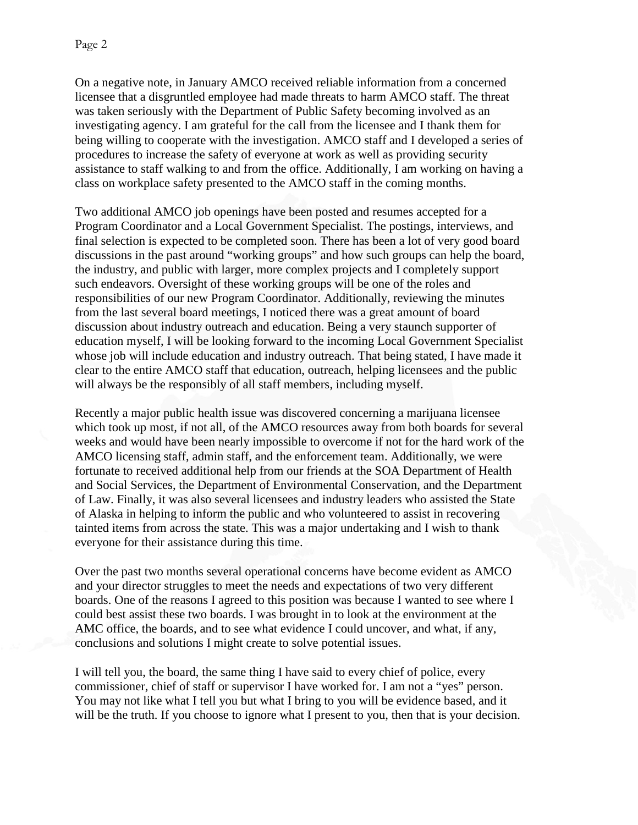On a negative note, in January AMCO received reliable information from a concerned licensee that a disgruntled employee had made threats to harm AMCO staff. The threat was taken seriously with the Department of Public Safety becoming involved as an investigating agency. I am grateful for the call from the licensee and I thank them for being willing to cooperate with the investigation. AMCO staff and I developed a series of procedures to increase the safety of everyone at work as well as providing security assistance to staff walking to and from the office. Additionally, I am working on having a class on workplace safety presented to the AMCO staff in the coming months.

Two additional AMCO job openings have been posted and resumes accepted for a Program Coordinator and a Local Government Specialist. The postings, interviews, and final selection is expected to be completed soon. There has been a lot of very good board discussions in the past around "working groups" and how such groups can help the board, the industry, and public with larger, more complex projects and I completely support such endeavors. Oversight of these working groups will be one of the roles and responsibilities of our new Program Coordinator. Additionally, reviewing the minutes from the last several board meetings, I noticed there was a great amount of board discussion about industry outreach and education. Being a very staunch supporter of education myself, I will be looking forward to the incoming Local Government Specialist whose job will include education and industry outreach. That being stated, I have made it clear to the entire AMCO staff that education, outreach, helping licensees and the public will always be the responsibly of all staff members, including myself.

Recently a major public health issue was discovered concerning a marijuana licensee which took up most, if not all, of the AMCO resources away from both boards for several weeks and would have been nearly impossible to overcome if not for the hard work of the AMCO licensing staff, admin staff, and the enforcement team. Additionally, we were fortunate to received additional help from our friends at the SOA Department of Health and Social Services, the Department of Environmental Conservation, and the Department of Law. Finally, it was also several licensees and industry leaders who assisted the State of Alaska in helping to inform the public and who volunteered to assist in recovering tainted items from across the state. This was a major undertaking and I wish to thank everyone for their assistance during this time.

Over the past two months several operational concerns have become evident as AMCO and your director struggles to meet the needs and expectations of two very different boards. One of the reasons I agreed to this position was because I wanted to see where I could best assist these two boards. I was brought in to look at the environment at the AMC office, the boards, and to see what evidence I could uncover, and what, if any, conclusions and solutions I might create to solve potential issues.

I will tell you, the board, the same thing I have said to every chief of police, every commissioner, chief of staff or supervisor I have worked for. I am not a "yes" person. You may not like what I tell you but what I bring to you will be evidence based, and it will be the truth. If you choose to ignore what I present to you, then that is your decision.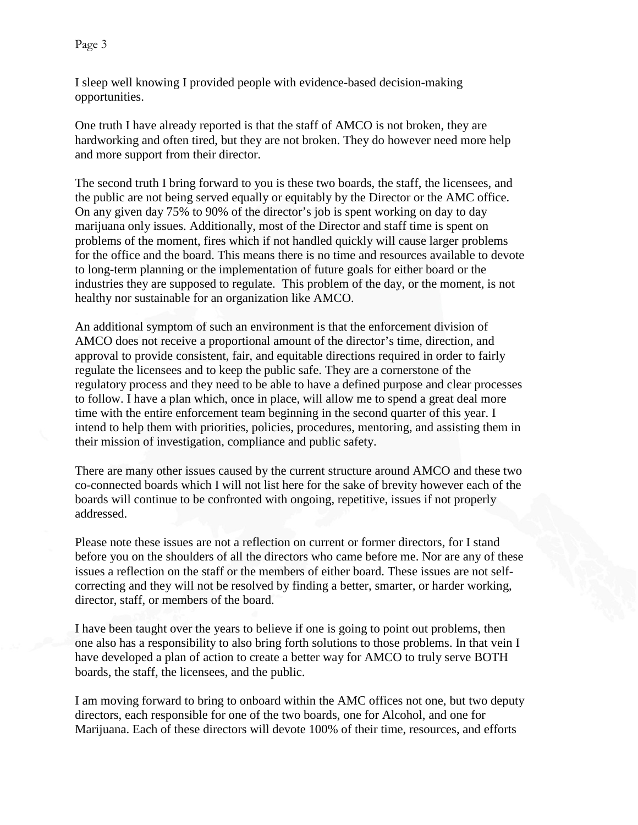I sleep well knowing I provided people with evidence-based decision-making opportunities.

One truth I have already reported is that the staff of AMCO is not broken, they are hardworking and often tired, but they are not broken. They do however need more help and more support from their director.

The second truth I bring forward to you is these two boards, the staff, the licensees, and the public are not being served equally or equitably by the Director or the AMC office. On any given day 75% to 90% of the director's job is spent working on day to day marijuana only issues. Additionally, most of the Director and staff time is spent on problems of the moment, fires which if not handled quickly will cause larger problems for the office and the board. This means there is no time and resources available to devote to long-term planning or the implementation of future goals for either board or the industries they are supposed to regulate. This problem of the day, or the moment, is not healthy nor sustainable for an organization like AMCO.

An additional symptom of such an environment is that the enforcement division of AMCO does not receive a proportional amount of the director's time, direction, and approval to provide consistent, fair, and equitable directions required in order to fairly regulate the licensees and to keep the public safe. They are a cornerstone of the regulatory process and they need to be able to have a defined purpose and clear processes to follow. I have a plan which, once in place, will allow me to spend a great deal more time with the entire enforcement team beginning in the second quarter of this year. I intend to help them with priorities, policies, procedures, mentoring, and assisting them in their mission of investigation, compliance and public safety.

There are many other issues caused by the current structure around AMCO and these two co-connected boards which I will not list here for the sake of brevity however each of the boards will continue to be confronted with ongoing, repetitive, issues if not properly addressed.

Please note these issues are not a reflection on current or former directors, for I stand before you on the shoulders of all the directors who came before me. Nor are any of these issues a reflection on the staff or the members of either board. These issues are not selfcorrecting and they will not be resolved by finding a better, smarter, or harder working, director, staff, or members of the board.

I have been taught over the years to believe if one is going to point out problems, then one also has a responsibility to also bring forth solutions to those problems. In that vein I have developed a plan of action to create a better way for AMCO to truly serve BOTH boards, the staff, the licensees, and the public.

I am moving forward to bring to onboard within the AMC offices not one, but two deputy directors, each responsible for one of the two boards, one for Alcohol, and one for Marijuana. Each of these directors will devote 100% of their time, resources, and efforts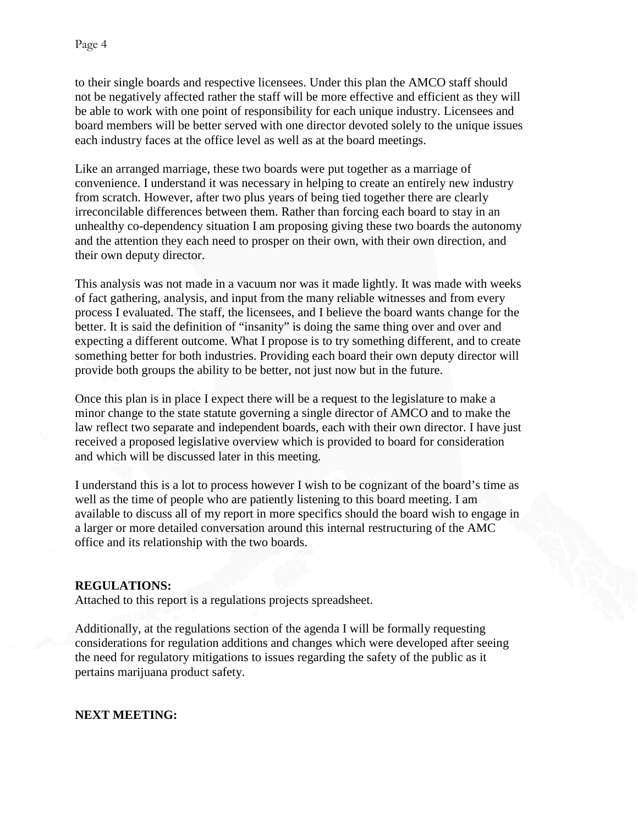to their single boards and respective licensees. Under this plan the AMCO staff should not be negatively affected rather the staff will be more effective and efficient as they will be able to work with one point of responsibility for each unique industry. Licensees and board members will be better served with one director devoted solely to the unique issues each industry faces at the office level as well as at the board meetings.

Like an arranged marriage, these two boards were put together as a marriage of convenience. I understand it was necessary in helping to create an entirely new industry from scratch. However, after two plus years of being tied together there are clearly irreconcilable differences between them. Rather than forcing each board to stay in an unhealthy co-dependency situation I am proposing giving these two boards the autonomy and the attention they each need to prosper on their own, with their own direction, and their own deputy director.

This analysis was not made in a vacuum nor was it made lightly. It was made with weeks of fact gathering, analysis, and input from the many reliable witnesses and from every process I evaluated. The staff, the licensees, and I believe the board wants change for the better. It is said the definition of "insanity" is doing the same thing over and over and expecting a different outcome. What I propose is to try something different, and to create something better for both industries. Providing each board their own deputy director will provide both groups the ability to be better, not just now but in the future.

Once this plan is in place I expect there will be a request to the legislature to make a minor change to the state statute governing a single director of AMCO and to make the law reflect two separate and independent boards, each with their own director. I have just received a proposed legislative overview which is provided to board for consideration and which will be discussed later in this meeting.

I understand this is a lot to process however I wish to be cognizant of the board's time as well as the time of people who are patiently listening to this board meeting. I am available to discuss all of my report in more specifics should the board wish to engage in a larger or more detailed conversation around this internal restructuring of the AMC office and its relationship with the two boards.

#### **REGULATIONS:**

Attached to this report is a regulations projects spreadsheet.

Additionally, at the regulations section of the agenda I will be formally requesting considerations for regulation additions and changes which were developed after seeing the need for regulatory mitigations to issues regarding the safety of the public as it pertains marijuana product safety.

#### **NEXT MEETING:**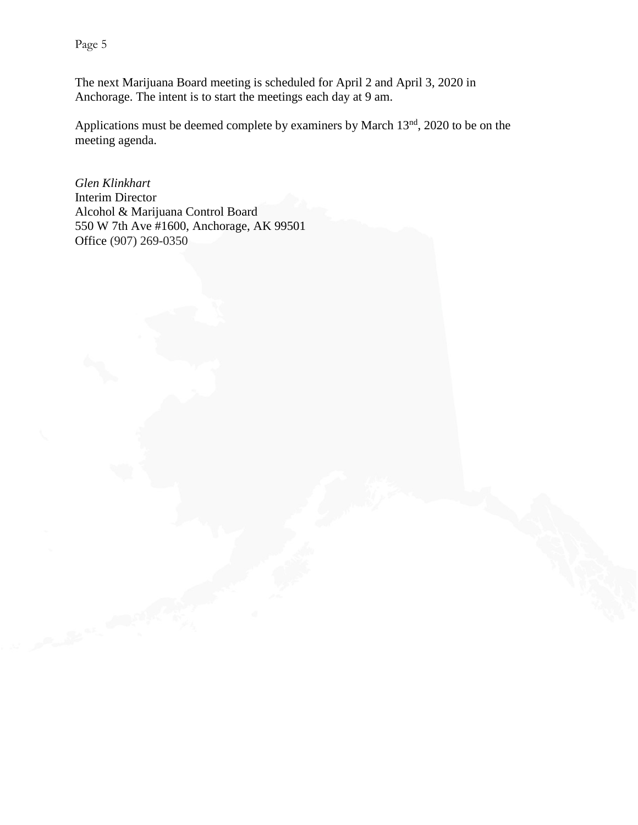Page 5

The next Marijuana Board meeting is scheduled for April 2 and April 3, 2020 in Anchorage. The intent is to start the meetings each day at 9 am.

Applications must be deemed complete by examiners by March 13<sup>nd</sup>, 2020 to be on the meeting agenda.

*Glen Klinkhart* Interim Director Alcohol & Marijuana Control Board 550 W 7th Ave #1600, Anchorage, AK 99501 Office (907) 269-0350